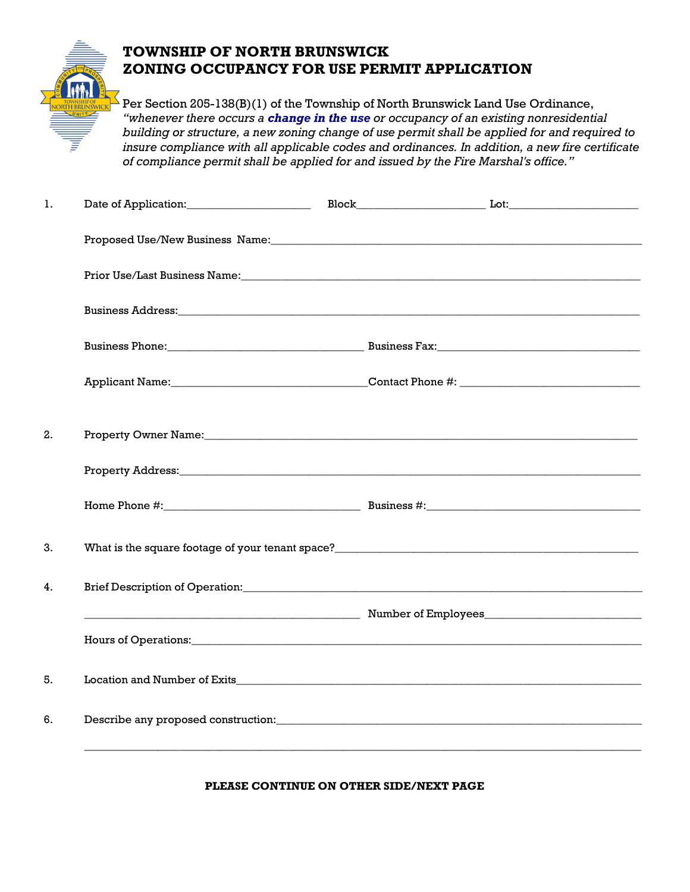

## **TOWNSHIP OF NORTH BRUNSWICK ZONING OCCUPANCY FOR USE PERMIT APPLICATION**

Per Section 205-138(B)(1) of the Township of North Brunswick Land Use Ordinance, *"whenever there occurs a change in the use or occupancy of an existing nonresidential building or structure, a new zoning change of use permit shall be applied for and required to insure compliance with all applicable codes and ordinances. In addition, a new fire certificate of compliance permit shall be applied for and issued by the Fire Marshal's office."*

| 1. |                                                                                                                                                                                                                                |  |  |  |  |  |  |
|----|--------------------------------------------------------------------------------------------------------------------------------------------------------------------------------------------------------------------------------|--|--|--|--|--|--|
|    |                                                                                                                                                                                                                                |  |  |  |  |  |  |
|    |                                                                                                                                                                                                                                |  |  |  |  |  |  |
|    | Business Address: National Address: National Address: National Address: National Address: National Address: National Address: National Address: National Address: National Address: National Address: National Address: Nation |  |  |  |  |  |  |
|    |                                                                                                                                                                                                                                |  |  |  |  |  |  |
|    |                                                                                                                                                                                                                                |  |  |  |  |  |  |
| 2. | Property Owner Name: 1988 and 2008 and 2008 and 2010 and 2010 and 2010 and 2010 and 2010 and 2010 and 2010 and 2010 and 2010 and 2010 and 2010 and 2010 and 2010 and 2010 and 2010 and 2010 and 2010 and 2010 and 2010 and 201 |  |  |  |  |  |  |
|    |                                                                                                                                                                                                                                |  |  |  |  |  |  |
|    |                                                                                                                                                                                                                                |  |  |  |  |  |  |
| 3. | What is the square footage of your tenant space?<br><u> What is the square footage of your tenant space?</u>                                                                                                                   |  |  |  |  |  |  |
| 4. |                                                                                                                                                                                                                                |  |  |  |  |  |  |
|    |                                                                                                                                                                                                                                |  |  |  |  |  |  |
|    | Hours of Operations: 1988 and 2008 and 2008 and 2008 and 2008 and 2008 and 2008 and 2008 and 2008 and 2008 and 2008 and 2008 and 2008 and 2008 and 2008 and 2008 and 2008 and 2008 and 2008 and 2008 and 2008 and 2008 and 200 |  |  |  |  |  |  |
| 5. |                                                                                                                                                                                                                                |  |  |  |  |  |  |
| 6. |                                                                                                                                                                                                                                |  |  |  |  |  |  |
|    |                                                                                                                                                                                                                                |  |  |  |  |  |  |

## **PLEASE CONTINUE ON OTHER SIDE/NEXT PAGE**